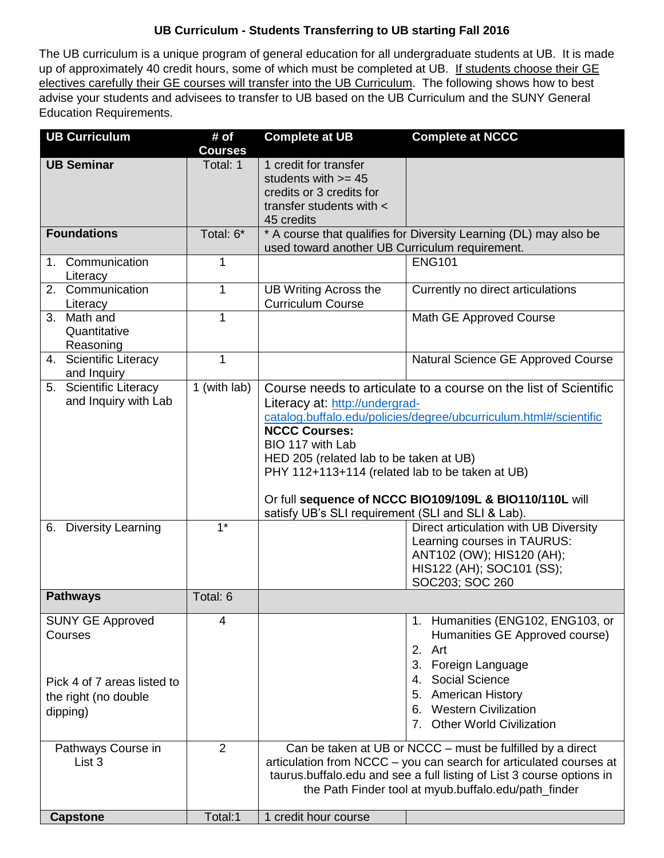## **UB Curriculum - Students Transferring to UB starting Fall 2016**

The UB curriculum is a unique program of general education for all undergraduate students at UB. It is made up of approximately 40 credit hours, some of which must be completed at UB. If students choose their GE electives carefully their GE courses will transfer into the UB Curriculum. The following shows how to best advise your students and advisees to transfer to UB based on the UB Curriculum and the SUNY General Education Requirements.

| <b>UB Curriculum</b>                                                                                  | # $of$<br><b>Courses</b> | <b>Complete at UB</b>                                                                                                                                                                                                                                                                                                                                                                                                             | <b>Complete at NCCC</b>                                                                                                                                                                                                        |
|-------------------------------------------------------------------------------------------------------|--------------------------|-----------------------------------------------------------------------------------------------------------------------------------------------------------------------------------------------------------------------------------------------------------------------------------------------------------------------------------------------------------------------------------------------------------------------------------|--------------------------------------------------------------------------------------------------------------------------------------------------------------------------------------------------------------------------------|
| <b>UB Seminar</b>                                                                                     | Total: 1                 | 1 credit for transfer<br>students with $>= 45$<br>credits or 3 credits for<br>transfer students with <<br>45 credits                                                                                                                                                                                                                                                                                                              |                                                                                                                                                                                                                                |
| <b>Foundations</b>                                                                                    | Total: 6*                | * A course that qualifies for Diversity Learning (DL) may also be<br>used toward another UB Curriculum requirement.                                                                                                                                                                                                                                                                                                               |                                                                                                                                                                                                                                |
| 1. Communication<br>Literacy                                                                          | 1                        |                                                                                                                                                                                                                                                                                                                                                                                                                                   | <b>ENG101</b>                                                                                                                                                                                                                  |
| 2. Communication<br>Literacy                                                                          | 1                        | <b>UB Writing Across the</b><br><b>Curriculum Course</b>                                                                                                                                                                                                                                                                                                                                                                          | Currently no direct articulations                                                                                                                                                                                              |
| 3. Math and<br>Quantitative<br>Reasoning                                                              | 1                        |                                                                                                                                                                                                                                                                                                                                                                                                                                   | Math GE Approved Course                                                                                                                                                                                                        |
| 4. Scientific Literacy<br>and Inquiry                                                                 | 1                        |                                                                                                                                                                                                                                                                                                                                                                                                                                   | Natural Science GE Approved Course                                                                                                                                                                                             |
| 5. Scientific Literacy<br>and Inquiry with Lab                                                        | 1 (with lab)             | Course needs to articulate to a course on the list of Scientific<br>Literacy at: http://undergrad-<br>catalog.buffalo.edu/policies/degree/ubcurriculum.html#/scientific<br><b>NCCC Courses:</b><br>BIO 117 with Lab<br>HED 205 (related lab to be taken at UB)<br>PHY 112+113+114 (related lab to be taken at UB)<br>Or full sequence of NCCC BIO109/109L & BIO110/110L will<br>satisfy UB's SLI requirement (SLI and SLI & Lab). |                                                                                                                                                                                                                                |
| 6. Diversity Learning                                                                                 | $1*$                     |                                                                                                                                                                                                                                                                                                                                                                                                                                   | Direct articulation with UB Diversity<br>Learning courses in TAURUS:<br>ANT102 (OW); HIS120 (AH);<br>HIS122 (AH); SOC101 (SS);<br>SOC203; SOC 260                                                                              |
| <b>Pathways</b>                                                                                       | Total: 6                 |                                                                                                                                                                                                                                                                                                                                                                                                                                   |                                                                                                                                                                                                                                |
| <b>SUNY GE Approved</b><br>Courses<br>Pick 4 of 7 areas listed to<br>the right (no double<br>dipping) | 4                        |                                                                                                                                                                                                                                                                                                                                                                                                                                   | 1. Humanities (ENG102, ENG103, or<br>Humanities GE Approved course)<br>2. Art<br>3. Foreign Language<br>4. Social Science<br><b>American History</b><br>5.<br><b>Western Civilization</b><br>6.<br>7. Other World Civilization |
| Pathways Course in<br>List 3                                                                          | $\overline{2}$           | Can be taken at UB or NCCC – must be fulfilled by a direct<br>articulation from NCCC - you can search for articulated courses at<br>taurus.buffalo.edu and see a full listing of List 3 course options in<br>the Path Finder tool at myub.buffalo.edu/path_finder                                                                                                                                                                 |                                                                                                                                                                                                                                |
| <b>Capstone</b>                                                                                       | Total:1                  | 1 credit hour course                                                                                                                                                                                                                                                                                                                                                                                                              |                                                                                                                                                                                                                                |